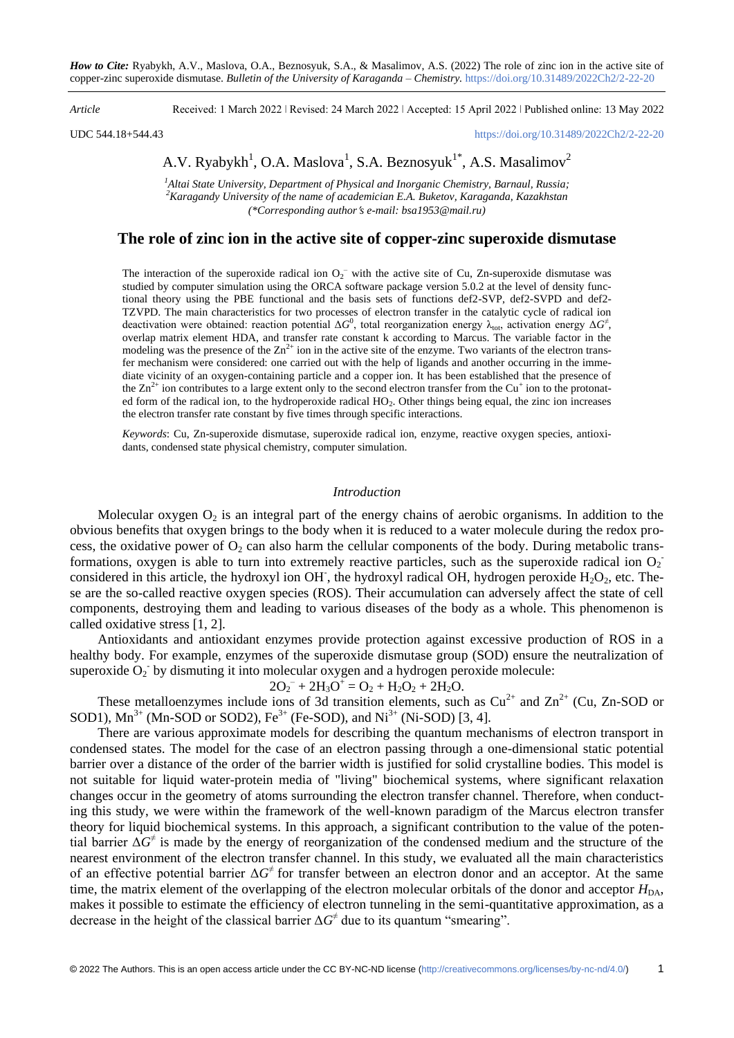#### *Article* Received: 1 March 2022 ǀ Revised: 24 March 2022 ǀ Accepted: 15 April 2022 ǀ Published online: 13 May 2022

UDC 544.18+544.43

# A.V. Ryabykh $^1$ , O.A. Maslova $^1$ , S.A. Beznosyuk $^{1*}$ , A.S. Masalimov $^2$

*<sup>1</sup>Altai State University, Department of Physical and Inorganic Chemistry, Barnaul, Russia; <sup>2</sup>Karagandy University of the name of academician E.A. Buketov, Karaganda, Kazakhstan (\*Corresponding authors e-mail: bsa1953@mail.ru)*

## **The role of zinc ion in the active site of copper-zinc superoxide dismutase**

The interaction of the superoxide radical ion  $O_2$ <sup>-</sup> with the active site of Cu, Zn-superoxide dismutase was studied by computer simulation using the ORCA software package version 5.0.2 at the level of density functional theory using the PBE functional and the basis sets of functions def2-SVP, def2-SVPD and def2- TZVPD. The main characteristics for two processes of electron transfer in the catalytic cycle of radical ion deactivation were obtained: reaction potential  $\Delta G^0$ , total reorganization energy  $\lambda_{\text{tot}}$ , activation energy  $\Delta G^{\neq}$ , overlap matrix element HDA, and transfer rate constant k according to Marcus. The variable factor in the modeling was the presence of the  $\text{Zn}^{2+}$  ion in the active site of the enzyme. Two variants of the electron transfer mechanism were considered: one carried out with the help of ligands and another occurring in the immediate vicinity of an oxygen-containing particle and a copper ion. It has been established that the presence of the  $\text{Zn}^{2+}$  ion contributes to a large extent only to the second electron transfer from the Cu<sup>+</sup> ion to the protonated form of the radical ion, to the hydroperoxide radical HO<sub>2</sub>. Other things being equal, the zinc ion increases the electron transfer rate constant by five times through specific interactions.

*Keywords*: Cu, Zn-superoxide dismutase, superoxide radical ion, enzyme, reactive oxygen species, antioxidants, condensed state physical chemistry, computer simulation.

### *Introduction*

Molecular oxygen  $O_2$  is an integral part of the energy chains of aerobic organisms. In addition to the obvious benefits that oxygen brings to the body when it is reduced to a water molecule during the redox process, the oxidative power of  $O_2$  can also harm the cellular components of the body. During metabolic transformations, oxygen is able to turn into extremely reactive particles, such as the superoxide radical ion  $O_2$ considered in this article, the hydroxyl ion OH, the hydroxyl radical OH, hydrogen peroxide  $H_2O_2$ , etc. These are the so-called reactive oxygen species (ROS). Their accumulation can adversely affect the state of cell components, destroying them and leading to various diseases of the body as a whole. This phenomenon is called oxidative stress [1, 2].

Antioxidants and antioxidant enzymes provide protection against excessive production of ROS in a healthy body. For example, enzymes of the superoxide dismutase group (SOD) ensure the neutralization of superoxide  $O_2$  by dismuting it into molecular oxygen and a hydrogen peroxide molecule:

## $2O_2^{\text{-}} + 2H_3O^{\text{+}} = O_2 + H_2O_2 + 2H_2O.$

These metalloenzymes include ions of 3d transition elements, such as  $Cu^{2+}$  and  $Zn^{2+}$  (Cu, Zn-SOD or SOD1),  $Mn^{3+}$  (Mn-SOD or SOD2), Fe<sup>3+</sup> (Fe-SOD), and Ni<sup>3+</sup> (Ni-SOD) [3, 4].

There are various approximate models for describing the quantum mechanisms of electron transport in condensed states. The model for the case of an electron passing through a one-dimensional static potential barrier over a distance of the order of the barrier width is justified for solid crystalline bodies. This model is not suitable for liquid water-protein media of "living" biochemical systems, where significant relaxation changes occur in the geometry of atoms surrounding the electron transfer channel. Therefore, when conducting this study, we were within the framework of the well-known paradigm of the Marcus electron transfer theory for liquid biochemical systems. In this approach, a significant contribution to the value of the potential barrier  $\Delta G^{\neq}$  is made by the energy of reorganization of the condensed medium and the structure of the nearest environment of the electron transfer channel. In this study, we evaluated all the main characteristics of an effective potential barrier  $\Delta G^{\neq}$  for transfer between an electron donor and an acceptor. At the same time, the matrix element of the overlapping of the electron molecular orbitals of the donor and acceptor  $H_{DA}$ , makes it possible to estimate the efficiency of electron tunneling in the semi-quantitative approximation, as a decrease in the height of the classical barrier  $\Delta G^{\neq}$  due to its quantum "smearing".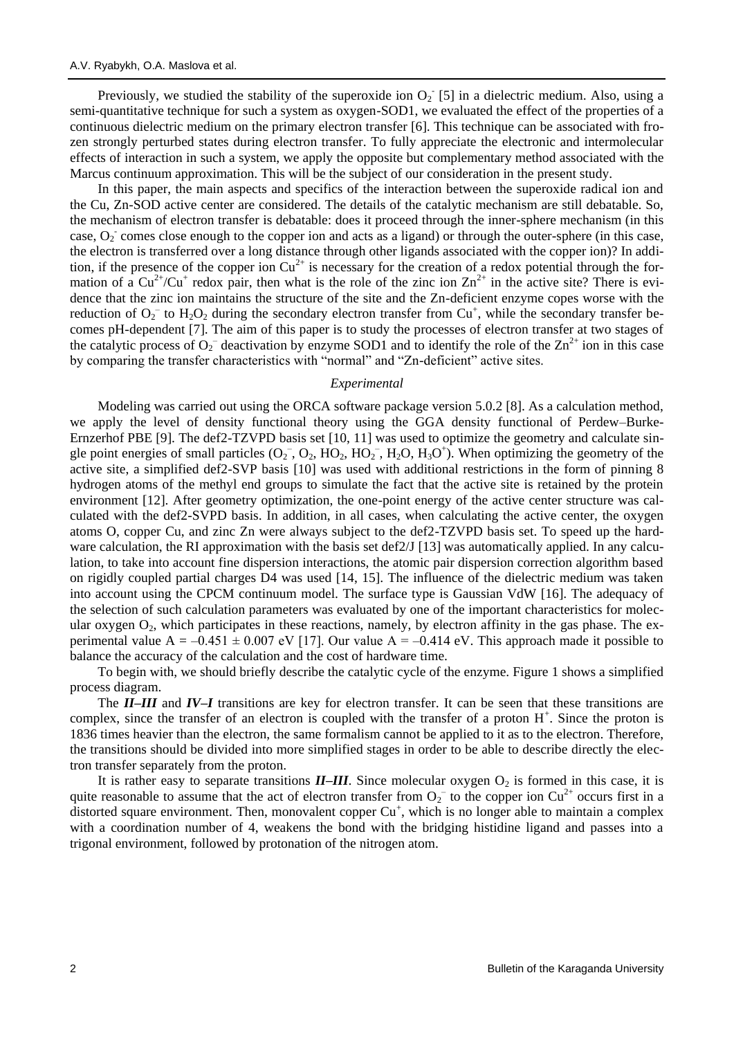Previously, we studied the stability of the superoxide ion  $O_2$  [5] in a dielectric medium. Also, using a semi-quantitative technique for such a system as oxygen-SOD1, we evaluated the effect of the properties of a continuous dielectric medium on the primary electron transfer [6]. This technique can be associated with frozen strongly perturbed states during electron transfer. To fully appreciate the electronic and intermolecular effects of interaction in such a system, we apply the opposite but complementary method associated with the Marcus continuum approximation. This will be the subject of our consideration in the present study.

In this paper, the main aspects and specifics of the interaction between the superoxide radical ion and the Cu, Zn-SOD active center are considered. The details of the catalytic mechanism are still debatable. So, the mechanism of electron transfer is debatable: does it proceed through the inner-sphere mechanism (in this case,  $O_2$  comes close enough to the copper ion and acts as a ligand) or through the outer-sphere (in this case, the electron is transferred over a long distance through other ligands associated with the copper ion)? In addition, if the presence of the copper ion  $Cu^{2+}$  is necessary for the creation of a redox potential through the formation of a  $Cu^{2+}/Cu^{+}$  redox pair, then what is the role of the zinc ion  $Zn^{2+}$  in the active site? There is evidence that the zinc ion maintains the structure of the site and the Zn-deficient enzyme copes worse with the reduction of  $O_2^-$  to  $H_2O_2$  during the secondary electron transfer from Cu<sup>+</sup>, while the secondary transfer becomes pH-dependent [7]. The aim of this paper is to study the processes of electron transfer at two stages of the catalytic process of  $O_2^-$  deactivation by enzyme SOD1 and to identify the role of the  $Zn^{2+}$  ion in this case by comparing the transfer characteristics with "normal" and "Zn-deficient" active sites.

#### *Experimental*

Modeling was carried out using the ORCA software package version 5.0.2 [8]. As a calculation method, we apply the level of density functional theory using the GGA density functional of Perdew–Burke-Ernzerhof PBE [9]. The def2-TZVPD basis set [10, 11] was used to optimize the geometry and calculate single point energies of small particles  $(O_2^-, O_2, HO_2, HO_2^-, H_2O, H_3O^+)$ . When optimizing the geometry of the active site, a simplified def2-SVP basis [10] was used with additional restrictions in the form of pinning 8 hydrogen atoms of the methyl end groups to simulate the fact that the active site is retained by the protein environment [12]. After geometry optimization, the one-point energy of the active center structure was calculated with the def2-SVPD basis. In addition, in all cases, when calculating the active center, the oxygen atoms O, copper Cu, and zinc Zn were always subject to the def2-TZVPD basis set. To speed up the hardware calculation, the RI approximation with the basis set def2/J [13] was automatically applied. In any calculation, to take into account fine dispersion interactions, the atomic pair dispersion correction algorithm based on rigidly coupled partial charges D4 was used [14, 15]. The influence of the dielectric medium was taken into account using the CPCM continuum model. The surface type is Gaussian VdW [16]. The adequacy of the selection of such calculation parameters was evaluated by one of the important characteristics for molecular oxygen  $O_2$ , which participates in these reactions, namely, by electron affinity in the gas phase. The experimental value A =  $-0.451 \pm 0.007$  eV [17]. Our value A =  $-0.414$  eV. This approach made it possible to balance the accuracy of the calculation and the cost of hardware time.

To begin with, we should briefly describe the catalytic cycle of the enzyme. Figure 1 shows a simplified process diagram.

The *II–III* and *IV–I* transitions are key for electron transfer. It can be seen that these transitions are complex, since the transfer of an electron is coupled with the transfer of a proton  $H^+$ . Since the proton is 1836 times heavier than the electron, the same formalism cannot be applied to it as to the electron. Therefore, the transitions should be divided into more simplified stages in order to be able to describe directly the electron transfer separately from the proton.

It is rather easy to separate transitions  $II$ –*III*. Since molecular oxygen  $O_2$  is formed in this case, it is quite reasonable to assume that the act of electron transfer from  $O_2^-$  to the copper ion  $Cu^{2+}$  occurs first in a distorted square environment. Then, monovalent copper  $Cu<sup>+</sup>$ , which is no longer able to maintain a complex with a coordination number of 4, weakens the bond with the bridging histidine ligand and passes into a trigonal environment, followed by protonation of the nitrogen atom.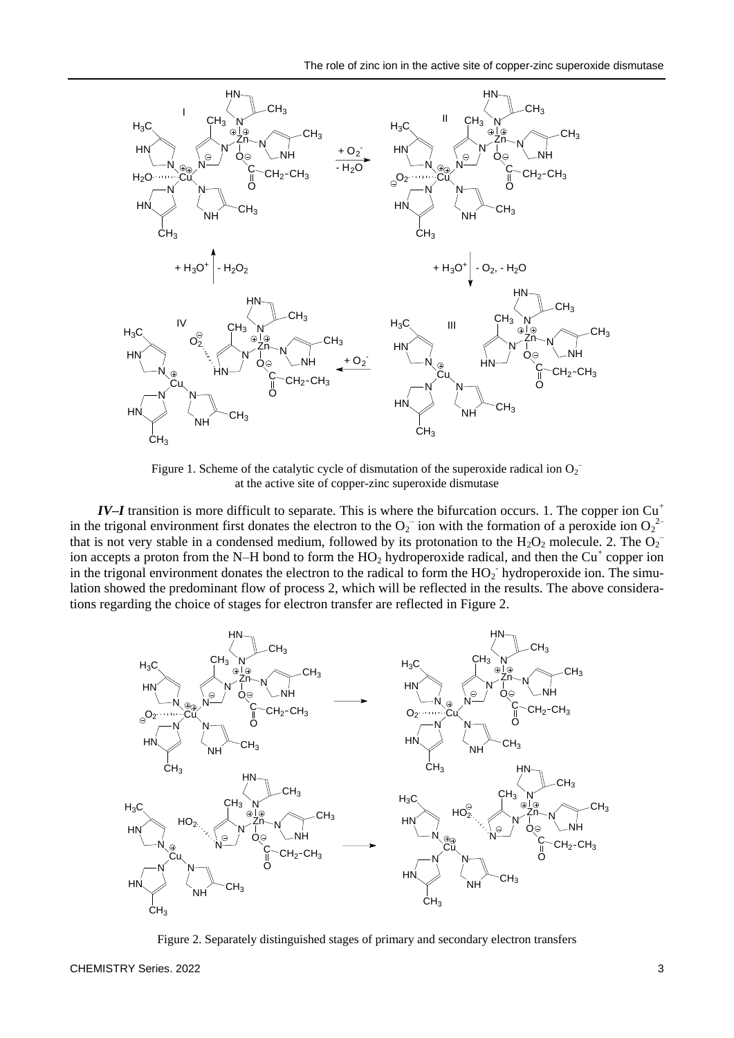

Figure 1. Scheme of the catalytic cycle of dismutation of the superoxide radical ion  $O_2$ <sup>-</sup> at the active site of copper-zinc superoxide dismutase

*IV–I* transition is more difficult to separate. This is where the bifurcation occurs. 1. The copper ion Cu<sup>+</sup> in the trigonal environment first donates the electron to the  $O_2^-$  ion with the formation of a peroxide ion  $O_2^2$ that is not very stable in a condensed medium, followed by its protonation to the  $H_2O_2$  molecule. 2. The  $O_2$ ion accepts a proton from the N–H bond to form the  $HO_2$  hydroperoxide radical, and then the Cu<sup>+</sup> copper ion in the trigonal environment donates the electron to the radical to form the  $HO_2$  hydroperoxide ion. The simulation showed the predominant flow of process 2, which will be reflected in the results. The above considerations regarding the choice of stages for electron transfer are reflected in Figure 2.



Figure 2. Separately distinguished stages of primary and secondary electron transfers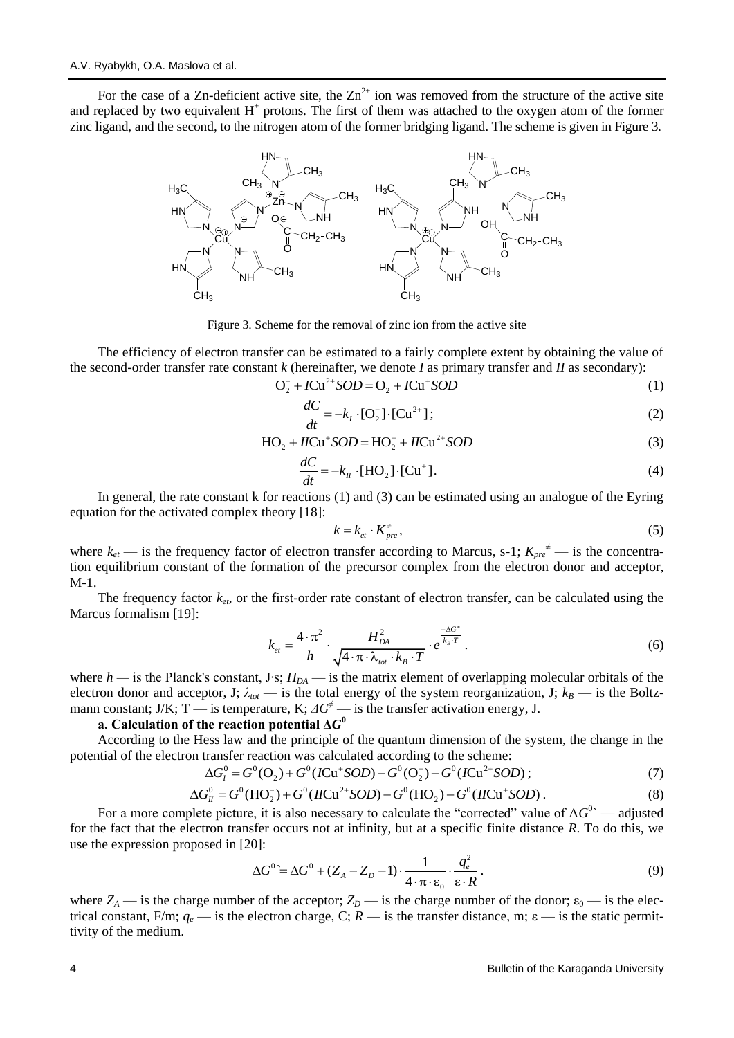For the case of a Zn-deficient active site, the  $\text{Zn}^{2+}$  ion was removed from the structure of the active site and replaced by two equivalent  $H^+$  protons. The first of them was attached to the oxygen atom of the former zinc ligand, and the second, to the nitrogen atom of the former bridging ligand. The scheme is given in Figure 3.

Figure 3. Scheme for the removal of zinc ion from the active site

HN

HN  $H_3C$ 

 $CH<sub>3</sub>$ 

The efficiency of electron transfer can be estimated to a fairly complete extent by obtaining the value of the second-order transfer rate constant *k* (hereinafter, we denote *I* as primary transfer and *II* as secondary):<br> $O_2^- + ICu^+SOD = O_2 + ICu^+SOD$ 

$$
{}_{2}^{-} + ICu^{2+}SOD = O_{2} + ICu^{+}SOD
$$
 (1)

$$
\frac{dC}{dt} = -k_I \cdot [\mathbf{O}_2^-] \cdot [\mathbf{C} \mathbf{u}^{2+}];\tag{2}
$$

$$
dt \tHO2 + IICu+ SOD = HO2- + IICu2+ SOD \t(3)
$$

Cŭ, N

N

N

NH

 $CH<sub>3</sub>$ 

NH

 $CH<sub>3</sub>$ 

OH Ċ. O

N

H<sub>N</sub>

N

 $CH<sub>2</sub>$ -CH<sub>3</sub>

 $CH<sub>3</sub>$ 

NH

 $CH<sub>3</sub>$ 

N

$$
\frac{dC}{dt} = -k_{II} \cdot [\text{HO}_2] \cdot [\text{Cu}^+]. \tag{4}
$$

In general, the rate constant k for reactions (1) and (3) can be estimated using an analogue of the Eyring equation for the activated complex theory [18]:

$$
k = k_{et} \cdot K_{pre}^*,\tag{5}
$$

where  $k_{et}$  — is the frequency factor of electron transfer according to Marcus, s-1;  $K_{pre}^{\neq}$  — is the concentration equilibrium constant of the formation of the precursor complex from the electron donor and acceptor, М-1.

The frequency factor  $k_{et}$ , or the first-order rate constant of electron transfer, can be calculated using the Marcus formalism [19]:

$$
k_{et} = \frac{4 \cdot \pi^2}{h} \cdot \frac{H_{DA}^2}{\sqrt{4 \cdot \pi \cdot \lambda_{tot} \cdot k_B \cdot T}} \cdot e^{\frac{-\Delta G^*}{k_B \cdot T}}.
$$
 (6)

where *h —* is the Planck's constant, J∙s; *HDA* — is the matrix element of overlapping molecular orbitals of the electron donor and acceptor, J;  $\lambda_{tot}$  — is the total energy of the system reorganization, J;  $k_B$  — is the Boltzmann constant; J/K; T → is temperature, K;  $\Delta G^{\neq}$  → is the transfer activation energy, J.

## a. Calculation of the reaction potential  $\Delta G^0$

Cŭ, N

N

 $N<sub>1</sub>$ 

N

 $\mathsf{CH}_3$ 

NH

 $CH<sub>3</sub>$ 

Zn N

Q Ċ-O  $CH<sub>3</sub>$ 

NH

 $CH<sub>2</sub>$ -CH<sub>3</sub>

 $CH<sub>3</sub>$ 

N

HN-

N

HN

HN  $H_3C$ 

 $CH<sub>3</sub>$ 

According to the Hess law and the principle of the quantum dimension of the system, the change in the potential of the electron transfer reaction was calculated according to the scheme:<br> $\Delta G_v^0 = G^0(\Omega_s) + G^0(I\text{Cu}^+SOD) - G^0(\Omega_s^-) - G^0(I\text{Cu}^{2+}SO)$ ess law and the principle of the quantum dimension of the ransfer reaction was calculated according to the scheme:<br> $\Delta G_l^0 = G^0(O_2) + G^0(ICu^*SOD) - G^0(O_2^-) - G^0(ICu^{2+}SOD)$ 

$$
\Delta G_I^0 = G^0(O_2) + G^0(ICu^+SOD) - G^0(O_2^-) - G^0(ICu^{2+}SOD); \tag{7}
$$

on transfer reaction was calculated according to the scheme:  
\n
$$
\Delta G_l^0 = G^0(O_2) + G^0(ICu^+SOD) - G^0(O_2^-) - G^0(ICu^{2+}SOD);
$$
\n
$$
\Delta G_{ll}^0 = G^0(HO_2^-) + G^0(IICu^{2+}SOD) - G^0(HO_2^-) - G^0(IICu^+SOD).
$$
\n(8)

For a more complete picture, it is also necessary to calculate the "corrected" value of  $\Delta G^0$  — adjusted for the fact that the electron transfer occurs not at infinity, but at a specific finite distance *R*. To do this, we use the expression proposed in [20]:

$$
\Delta G^{0} = \Delta G^{0} + (Z_{A} - Z_{D} - 1) \cdot \frac{1}{4 \cdot \pi \cdot \varepsilon_{0}} \cdot \frac{q_{e}^{2}}{\varepsilon \cdot R}.
$$
\n(9)

where  $Z_A$  — is the charge number of the acceptor;  $Z_D$  — is the charge number of the donor;  $\varepsilon_0$  — is the electrical constant, F/m;  $q_e$  — is the electron charge, C;  $R$  — is the transfer distance, m;  $\epsilon$  — is the static permittivity of the medium.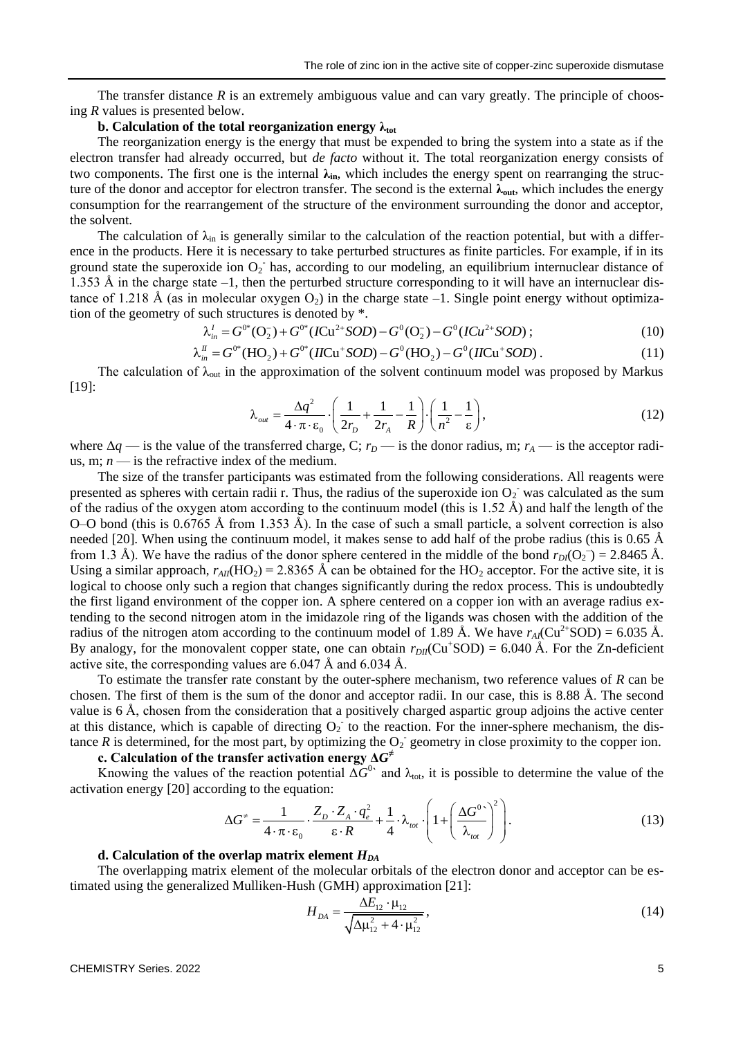The transfer distance  $R$  is an extremely ambiguous value and can vary greatly. The principle of choosing *R* values is presented below.

### **b. Calculation of the total reorganization energy λtot**

The reorganization energy is the energy that must be expended to bring the system into a state as if the electron transfer had already occurred, but *de facto* without it. The total reorganization energy consists of two components. The first one is the internal **λin**, which includes the energy spent on rearranging the structure of the donor and acceptor for electron transfer. The second is the external **λout**, which includes the energy consumption for the rearrangement of the structure of the environment surrounding the donor and acceptor, the solvent.

The calculation of  $\lambda_{\rm in}$  is generally similar to the calculation of the reaction potential, but with a difference in the products. Here it is necessary to take perturbed structures as finite particles. For example, if in its ground state the superoxide ion  $O_2$  has, according to our modeling, an equilibrium internuclear distance of 1.353 Å in the charge state  $-1$ , then the perturbed structure corresponding to it will have an internuclear distance of 1.218 Å (as in molecular oxygen O<sub>2</sub>) in the charge state –1. Single point energy without optimization of the geometry of such structures is denoted by \*.<br>  $\lambda_{in}^{I} = G^{0*}(O_2^-) + G^{0*}(ICu^{2+}SOD) - G^{0}(O_2^-) - G^{0}(ICu^{2+}$ tion of the geometry of such structures is denoted by \*.<br>  $\lambda' = G^{0*}(Q_{\lambda}^-) + G^{0*}(ICu^{2+}SOD) - G^{0}(Q_{\lambda}^-) - G^{0}(ICu^{2+}SOD)$ 

$$
\text{such structures is denoted by }^*.
$$
\n
$$
\lambda_{in}^I = G^{0*}(\mathbf{O}_2) + G^{0*}(ICu^{2+}SOD) - G^0(\mathbf{O}_2) - G^0(ICu^{2+}SOD); \tag{10}
$$
\n
$$
\lambda_{in}^I = G^{0*}(HO_2) + G^{0*}(IICu^+SOD) - G^0(H\mathbf{O}_2) - G^0(IICu^+SOD). \tag{11}
$$

$$
\lambda_{in}^{II} = G^{0*}(HO_2) + G^{0*}(IICu^+SOD) - G^0(HO_2) - G^0(IICu^+SOD). \tag{11}
$$

The calculation of  $\lambda_{\text{out}}$  in the approximation of the solvent continuum model was proposed by Markus [19]:

$$
\lambda_{out} = \frac{\Delta q^2}{4 \cdot \pi \cdot \varepsilon_0} \cdot \left(\frac{1}{2r_D} + \frac{1}{2r_A} - \frac{1}{R}\right) \cdot \left(\frac{1}{n^2} - \frac{1}{\varepsilon}\right),\tag{12}
$$

where  $\Delta q$  — is the value of the transferred charge, C;  $r_D$  — is the donor radius, m;  $r_A$  — is the acceptor radius, m;  $n -$  is the refractive index of the medium.

The size of the transfer participants was estimated from the following considerations. All reagents were presented as spheres with certain radii r. Thus, the radius of the superoxide ion  $O_2$  was calculated as the sum of the radius of the oxygen atom according to the continuum model (this is  $1.52 \text{ Å}$ ) and half the length of the O–O bond (this is  $0.6765$  Å from 1.353 Å). In the case of such a small particle, a solvent correction is also needed [20]. When using the continuum model, it makes sense to add half of the probe radius (this is 0.65 Å from 1.3 Å). We have the radius of the donor sphere centered in the middle of the bond  $r_{D}$ <sup>(</sup>O<sub>2</sub><sup>-</sup>) = 2.8465 Å. Using a similar approach,  $r_{AII}(HO_2) = 2.8365$  Å can be obtained for the HO<sub>2</sub> acceptor. For the active site, it is logical to choose only such a region that changes significantly during the redox process. This is undoubtedly the first ligand environment of the copper ion. A sphere centered on a copper ion with an average radius extending to the second nitrogen atom in the imidazole ring of the ligands was chosen with the addition of the radius of the nitrogen atom according to the continuum model of 1.89 Å. We have  $r_A(Cu^{2+}SOD) = 6.035$  Å. By analogy, for the monovalent copper state, one can obtain  $r_{DH}(Cu^+SOD) = 6.040$  Å. For the Zn-deficient active site, the corresponding values are 6.047 Å and 6.034 Å.

To estimate the transfer rate constant by the outer-sphere mechanism, two reference values of *R* can be chosen. The first of them is the sum of the donor and acceptor radii. In our case, this is 8.88 Å. The second value is 6 Å, chosen from the consideration that a positively charged aspartic group adjoins the active center at this distance, which is capable of directing  $O_2$  to the reaction. For the inner-sphere mechanism, the distance  $R$  is determined, for the most part, by optimizing the  $O_2$  geometry in close proximity to the copper ion.

## **c. Calculation of the transfer activation energy Δ***G* **≠**

Knowing the values of the reaction potential  $\Delta G^0$  and  $\lambda_{\text{tot}}$ , it is possible to determine the value of the ation energy [20] according to the equation:<br> $\lambda G^* = \begin{pmatrix} 1 & Z_D \cdot Z_A \cdot q_e^2 & 1 \end{pmatrix} \begin{pmatrix} \Delta G^{0} \end{pmatrix}^2$  (12 activation energy [20] according to the equation:

ding to the equation:  
\n
$$
\Delta G^* = \frac{1}{4 \cdot \pi \cdot \varepsilon_0} \cdot \frac{Z_D \cdot Z_A \cdot q_e^2}{\varepsilon \cdot R} + \frac{1}{4} \cdot \lambda_{tot} \cdot \left(1 + \left(\frac{\Delta G^{0.}}{\lambda_{tot}}\right)^2\right).
$$
\n(13)

### **d. Calculation of the overlap matrix element** *HDA*

The overlapping matrix element of the molecular orbitals of the electron donor and acceptor can be estimated using the generalized Mulliken-Hush (GMH) approximation [21]:

$$
H_{DA} = \frac{\Delta E_{12} \cdot \mu_{12}}{\sqrt{\Delta \mu_{12}^2 + 4 \cdot \mu_{12}^2}},
$$
\n(14)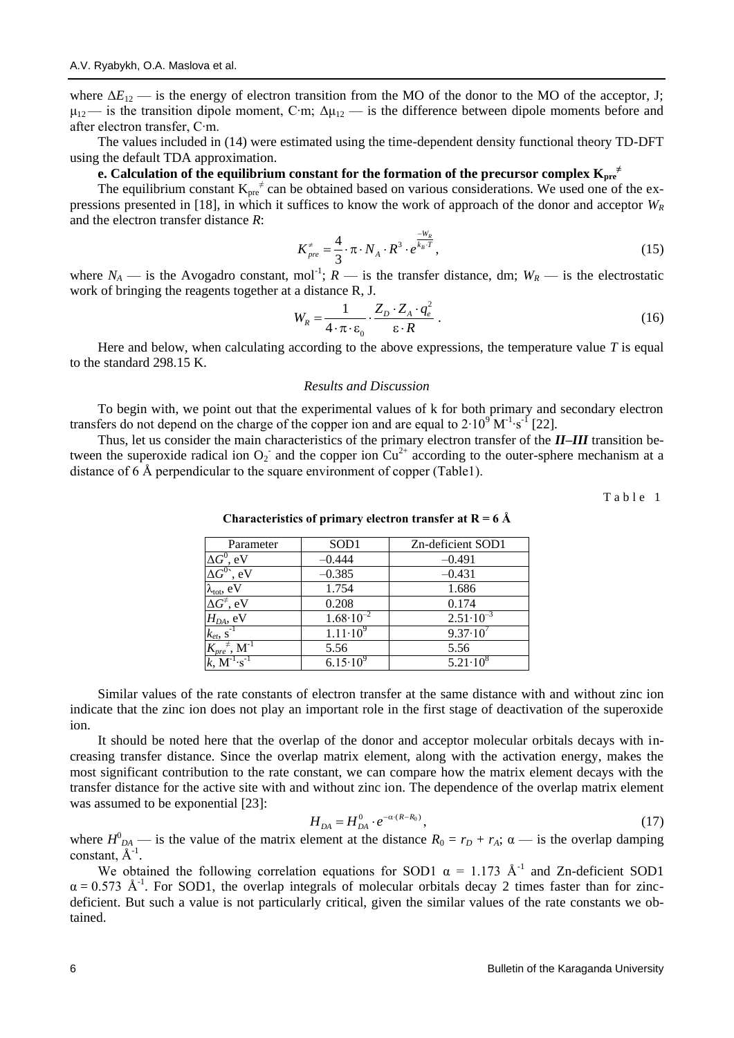where  $\Delta E_{12}$  — is the energy of electron transition from the MO of the donor to the MO of the acceptor, J;  $\mu_{12}$ — is the transition dipole moment, C⋅m;  $\Delta \mu_{12}$  — is the difference between dipole moments before and after electron transfer, C∙m.

The values included in (14) were estimated using the time-dependent density functional theory TD-DFT using the default TDA approximation.

## **e. Calculation of the equilibrium constant for the formation of the precursor complex**  $\mathbf{K}_{\text{pre}}^{\text{+}}$

The equilibrium constant  $K_{\text{pre}}^{\neq}$  can be obtained based on various considerations. We used one of the expressions presented in [18], in which it suffices to know the work of approach of the donor and acceptor *W<sup>R</sup>* and the electron transfer distance *R*:

$$
K_{pre}^* = \frac{4}{3} \cdot \pi \cdot N_A \cdot R^3 \cdot e^{\frac{-W_R}{k_B \cdot T}}, \tag{15}
$$

where  $N_A$  — is the Avogadro constant, mol<sup>-1</sup>;  $R$  — is the transfer distance, dm;  $W_R$  — is the electrostatic work of bringing the reagents together at a distance R, J.

$$
W_R = \frac{1}{4 \cdot \pi \cdot \varepsilon_0} \cdot \frac{Z_D \cdot Z_A \cdot q_e^2}{\varepsilon \cdot R} \,. \tag{16}
$$

Here and below, when calculating according to the above expressions, the temperature value *T* is equal to the standard 298.15 K.

#### *Results and Discussion*

To begin with, we point out that the experimental values of k for both primary and secondary electron transfers do not depend on the charge of the copper ion and are equal to  $2.10^{\circ}$  M<sup>-1</sup> $\cdot$ s<sup>-1</sup> [22].

Thus, let us consider the main characteristics of the primary electron transfer of the *II–III* transition between the superoxide radical ion  $O_2$  and the copper ion  $Cu^{2+}$  according to the outer-sphere mechanism at a distance of 6 Å perpendicular to the square environment of copper (Table1).

Table 1

| Parameter                                    | SOD <sub>1</sub>     | Zn-deficient SOD1    |
|----------------------------------------------|----------------------|----------------------|
| $\Delta G^0$ , eV                            | $-0.444$             | $-0.491$             |
| $\Delta G^{0\star}$ , eV                     | $-0.385$             | $-0.431$             |
| $\lambda_{\text{tot}}, eV$                   | 1.754                | 1.686                |
| $\Delta G^{\neq}$ , eV                       | 0.208                | 0.174                |
| $H_{DA}$ , eV                                | $1.68 \cdot 10^{-2}$ | $2.51 \cdot 10^{-3}$ |
| $k_{et}$ , s <sup>-1</sup>                   | $1.11 \cdot 10^{9}$  | $9.37 \cdot 10^{7}$  |
| $K_{pre}{}^{\neq},\, \mathbf{M}^{\text{-}1}$ | 5.56                 | 5.56                 |
| $k, M^{-1} \cdot s^{-1}$                     | $6.15 \cdot 10^{9}$  | $5.21 \cdot 10^8$    |

**Characteristics of primary electron transfer at R = 6 Å**

Similar values of the rate constants of electron transfer at the same distance with and without zinc ion indicate that the zinc ion does not play an important role in the first stage of deactivation of the superoxide ion.

It should be noted here that the overlap of the donor and acceptor molecular orbitals decays with increasing transfer distance. Since the overlap matrix element, along with the activation energy, makes the most significant contribution to the rate constant, we can compare how the matrix element decays with the transfer distance for the active site with and without zinc ion. The dependence of the overlap matrix element was assumed to be exponential [23]:

$$
H_{DA} = H_{DA}^0 \cdot e^{-\alpha (R - R_0)},\tag{17}
$$

where  $H_{DA}^0$  — is the value of the matrix element at the distance  $R_0 = r_D + r_A$ ;  $\alpha$  — is the overlap damping constant,  $\AA^{-1}$ .

We obtained the following correlation equations for SOD1  $\alpha = 1.173$  Å<sup>-1</sup> and Zn-deficient SOD1  $\alpha = 0.573$  Å<sup>-1</sup>. For SOD1, the overlap integrals of molecular orbitals decay 2 times faster than for zincdeficient. But such a value is not particularly critical, given the similar values of the rate constants we obtained.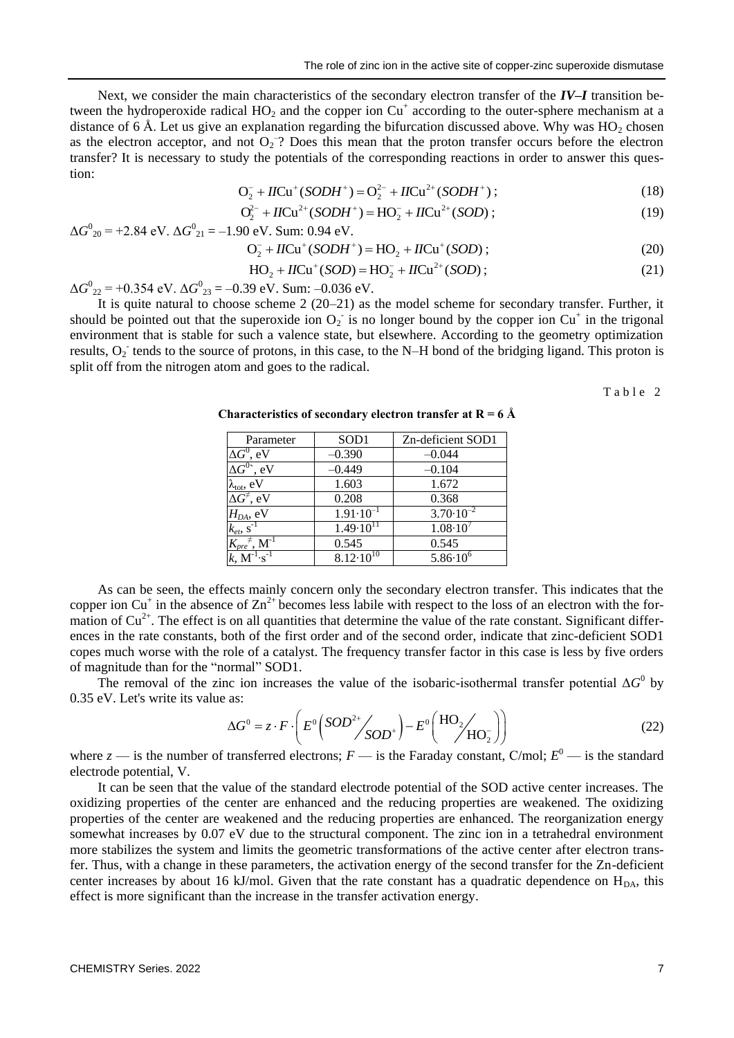Next, we consider the main characteristics of the secondary electron transfer of the *IV–I* transition between the hydroperoxide radical  $HO_2$  and the copper ion  $Cu<sup>+</sup>$  according to the outer-sphere mechanism at a distance of 6 Å. Let us give an explanation regarding the bifurcation discussed above. Why was  $HO_2$  chosen as the electron acceptor, and not  $O_2$ <sup>-</sup>? Does this mean that the proton transfer occurs before the electron transfer? It is necessary to study the potentials of the corresponding reactions in order to answer this question:  $2Q_2 + IICu^+(SODH^+) = Q_2^{2-} + IICu^{2+}(SODH^+);$ 

$$
O_2^- + IICu^+(SODH^+) = O_2^{2-} + IICu^{2+}(SODH^+);
$$
\n(18)

$$
O_2^- + IICu^+ (SODH^+) = O_2^{2-} + IICu^{2+} (SODH^+);
$$
\n
$$
O_2^{2-} + IICu^{2+} (SODH^+) = HO_2^- + IICu^{2+} (SOD);
$$
\n(19)

$$
\Delta G^{0}_{20} = +2.84 \text{ eV. } \Delta G^{0}_{21} = -1.90 \text{ eV. Sum: } 0.94 \text{ eV.}
$$
  

$$
O_{2}^{-} + IICu^{+}(SODH^{+}) = HO_{2} + IICu^{+}(SOD); \qquad (20)
$$

$$
O_2^- + IICu^+(SODH^+) = HO_2 + IICu^+(SOD) ;
$$
\n
$$
(20)
$$

$$
O_2^- + IICu^+(SODH^+) = HO_2 + IICu^+(SOD) ;
$$
\n
$$
HO_2 + IICu^+(SOD) = HO_2^- + IICu^{2+}(SOD) ;
$$
\n(21)

 $\Delta G^{0}_{22}$  = +0.354 eV.  $\Delta G^{0}_{23}$  = -0.39 eV. Sum: -0.036 eV.

It is quite natural to choose scheme 2 (20–21) as the model scheme for secondary transfer. Further, it should be pointed out that the superoxide ion  $O_2$  is no longer bound by the copper ion Cu<sup>+</sup> in the trigonal environment that is stable for such a valence state, but elsewhere. According to the geometry optimization results,  $O_2$  tends to the source of protons, in this case, to the N–H bond of the bridging ligand. This proton is split off from the nitrogen atom and goes to the radical.

Table 2

| Parameter                                                | SOD <sub>1</sub>     | Zn-deficient SOD1    |
|----------------------------------------------------------|----------------------|----------------------|
| $\Delta G^0$ , eV                                        | $-0.390$             | $-0.044$             |
| $\Delta G^{0\star}$ , eV                                 | $-0.449$             | $-0.104$             |
| $\lambda_{\text{tot}}$ , eV                              | 1.603                | 1.672                |
| $\Delta G^{\neq}$ , eV                                   | 0.208                | 0.368                |
| $H_{DA}$ , eV                                            | $1.91 \cdot 10^{-1}$ | $3.70 \cdot 10^{-2}$ |
| $k_{et}$ , s <sup>-1</sup>                               | $1.49 \cdot 10^{11}$ | $1.08 \cdot 10^{7}$  |
| $\overline{K_{\mathit{pre}}}^{\,\,\neq},\,M^{\text{-}1}$ | 0.545                | 0.545                |
| $k, M^{-1} \cdot s^{-1}$                                 | $8.12 \cdot 10^{10}$ | $5.86 \cdot 10^6$    |

**Characteristics of secondary electron transfer at R = 6 Å**

As can be seen, the effects mainly concern only the secondary electron transfer. This indicates that the copper ion Cu<sup>+</sup> in the absence of  $\text{Zn}^{2+}$  becomes less labile with respect to the loss of an electron with the formation of  $Cu<sup>2+</sup>$ . The effect is on all quantities that determine the value of the rate constant. Significant differences in the rate constants, both of the first order and of the second order, indicate that zinc-deficient SOD1 copes much worse with the role of a catalyst. The frequency transfer factor in this case is less by five orders of magnitude than for the "normal" SOD1.

The removal of the zinc ion increases the value of the isobaric-isothermal transfer potential  $\Delta G^0$  by 0.35 eV. Let's write its value as:

as:  
\n
$$
\Delta G^0 = z \cdot F \cdot \left( E^0 \left( SOD^{2+} / SOD^+ \right) - E^0 \left( \frac{HO_2 / O_2}{HO_2} \right) \right)
$$
\n(22)

where  $z$  — is the number of transferred electrons;  $F$  — is the Faraday constant, C/mol;  $E^0$  — is the standard electrode potential, V.

It can be seen that the value of the standard electrode potential of the SOD active center increases. The oxidizing properties of the center are enhanced and the reducing properties are weakened. The oxidizing properties of the center are weakened and the reducing properties are enhanced. The reorganization energy somewhat increases by 0.07 eV due to the structural component. The zinc ion in a tetrahedral environment more stabilizes the system and limits the geometric transformations of the active center after electron transfer. Thus, with a change in these parameters, the activation energy of the second transfer for the Zn-deficient center increases by about 16 kJ/mol. Given that the rate constant has a quadratic dependence on  $H_{DA}$ , this effect is more significant than the increase in the transfer activation energy.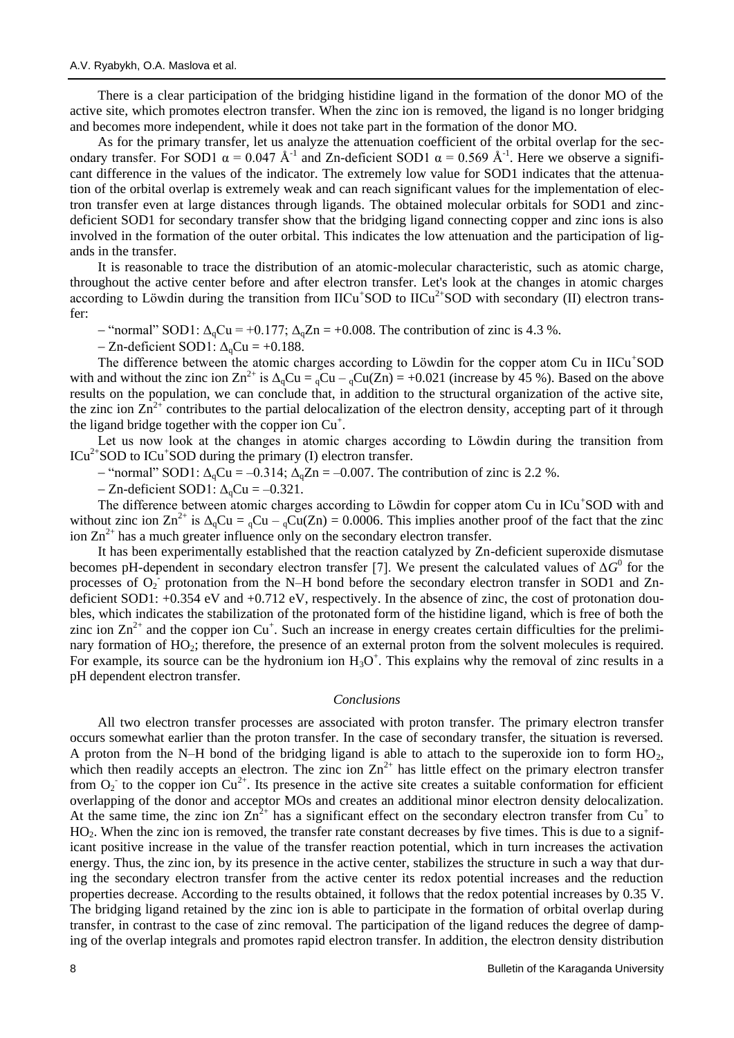There is a clear participation of the bridging histidine ligand in the formation of the donor MO of the active site, which promotes electron transfer. When the zinc ion is removed, the ligand is no longer bridging and becomes more independent, while it does not take part in the formation of the donor MO.

As for the primary transfer, let us analyze the attenuation coefficient of the orbital overlap for the secondary transfer. For SOD1  $\alpha = 0.047$  Å<sup>-1</sup> and Zn-deficient SOD1  $\alpha = 0.569$  Å<sup>-1</sup>. Here we observe a significant difference in the values of the indicator. The extremely low value for SOD1 indicates that the attenuation of the orbital overlap is extremely weak and can reach significant values for the implementation of electron transfer even at large distances through ligands. The obtained molecular orbitals for SOD1 and zincdeficient SOD1 for secondary transfer show that the bridging ligand connecting copper and zinc ions is also involved in the formation of the outer orbital. This indicates the low attenuation and the participation of ligands in the transfer.

It is reasonable to trace the distribution of an atomic-molecular characteristic, such as atomic charge, throughout the active center before and after electron transfer. Let's look at the changes in atomic charges according to Löwdin during the transition from  $\text{ICu}^+$ SOD to  $\text{ICu}^{2+}$ SOD with secondary (II) electron transfer:

 $-$  "normal" SOD1:  $\Delta_{0}$ Cu = +0.177;  $\Delta_{0}Z$ n = +0.008. The contribution of zinc is 4.3 %.

 $-Zn$ -deficient SOD1:  $\Delta_0$ Cu = +0.188.

The difference between the atomic charges according to Löwdin for the copper atom Cu in IICu<sup>+</sup>SOD with and without the zinc ion  $\text{Zn}^{2+}$  is  $\Delta_{\alpha}$ Cu =  $_{\alpha}$ Cu(Zn) = +0.021 (increase by 45 %). Based on the above results on the population, we can conclude that, in addition to the structural organization of the active site, the zinc ion  $\text{Zn}^{2+}$  contributes to the partial delocalization of the electron density, accepting part of it through the ligand bridge together with the copper ion  $Cu<sup>+</sup>$ .

Let us now look at the changes in atomic charges according to Löwdin during the transition from  $ICu<sup>2+</sup>$  SOD to  $ICu<sup>+</sup>$  SOD during the primary (I) electron transfer.

 $-$  "normal" SOD1:  $\Delta_0$ Cu = -0.314;  $\Delta_0$ Zn = -0.007. The contribution of zinc is 2.2 %.

 $-Zn$ -deficient SOD1:  $\Delta_0$ Cu = -0.321.

The difference between atomic charges according to Löwdin for copper atom Cu in ICu<sup>+</sup>SOD with and without zinc ion  $\text{Zn}^{2+}$  is  $\Delta_{\text{q}}\text{Cu} = \text{qCu} - \text{qCu(Zn)} = 0.0006$ . This implies another proof of the fact that the zinc ion  $\text{Zn}^{2+}$  has a much greater influence only on the secondary electron transfer.

It has been experimentally established that the reaction catalyzed by Zn-deficient superoxide dismutase becomes pH-dependent in secondary electron transfer [7]. We present the calculated values of  $\Delta G^0$  for the processes of  $O_2$  protonation from the N–H bond before the secondary electron transfer in SOD1 and Zndeficient SOD1: +0.354 eV and +0.712 eV, respectively. In the absence of zinc, the cost of protonation doubles, which indicates the stabilization of the protonated form of the histidine ligand, which is free of both the zinc ion  $\text{Zn}^{2+}$  and the copper ion  $\text{Cu}^+$ . Such an increase in energy creates certain difficulties for the preliminary formation of HO<sub>2</sub>; therefore, the presence of an external proton from the solvent molecules is required. For example, its source can be the hydronium ion  $H_3O^+$ . This explains why the removal of zinc results in a pH dependent electron transfer.

#### *Conclusions*

All two electron transfer processes are associated with proton transfer. The primary electron transfer occurs somewhat earlier than the proton transfer. In the case of secondary transfer, the situation is reversed. A proton from the N–H bond of the bridging ligand is able to attach to the superoxide ion to form  $HO<sub>2</sub>$ , which then readily accepts an electron. The zinc ion  $Zn^{2+}$  has little effect on the primary electron transfer from  $O_2$  to the copper ion Cu<sup>2+</sup>. Its presence in the active site creates a suitable conformation for efficient overlapping of the donor and acceptor MOs and creates an additional minor electron density delocalization. At the same time, the zinc ion  $\text{Zn}^{2+}$  has a significant effect on the secondary electron transfer from Cu<sup>+</sup> to HO<sub>2</sub>. When the zinc ion is removed, the transfer rate constant decreases by five times. This is due to a significant positive increase in the value of the transfer reaction potential, which in turn increases the activation energy. Thus, the zinc ion, by its presence in the active center, stabilizes the structure in such a way that during the secondary electron transfer from the active center its redox potential increases and the reduction properties decrease. According to the results obtained, it follows that the redox potential increases by 0.35 V. The bridging ligand retained by the zinc ion is able to participate in the formation of orbital overlap during transfer, in contrast to the case of zinc removal. The participation of the ligand reduces the degree of damping of the overlap integrals and promotes rapid electron transfer. In addition, the electron density distribution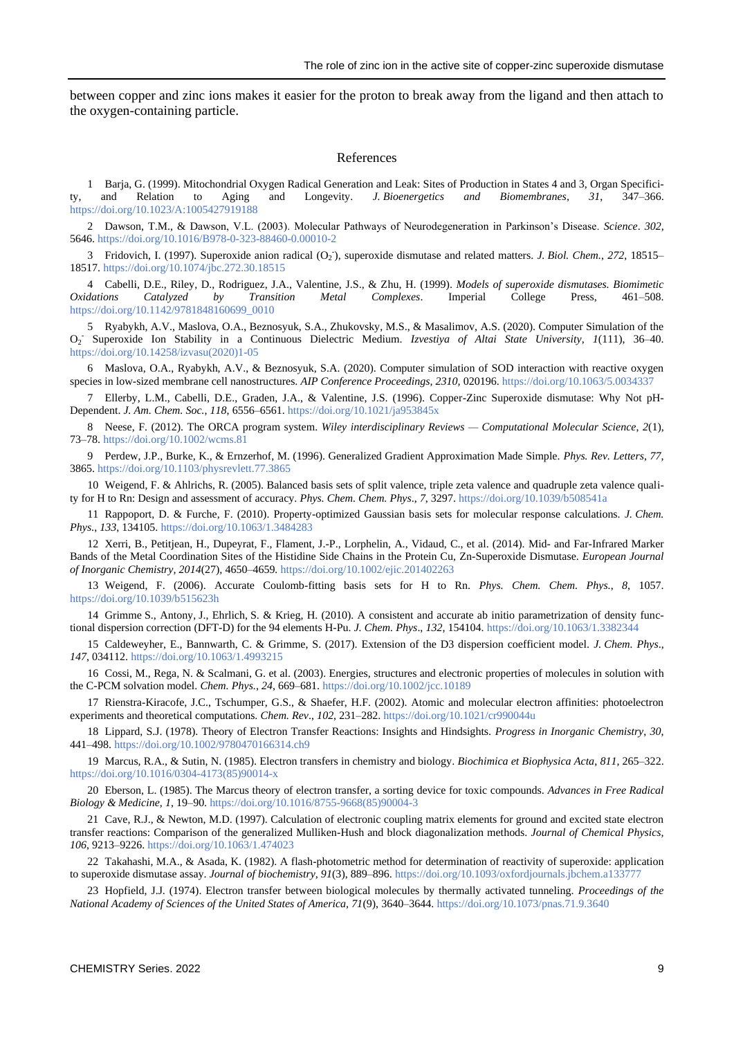between copper and zinc ions makes it easier for the proton to break away from the ligand and then attach to the oxygen-containing particle.

#### References

1 Barja, G. (1999). Mitochondrial Oxygen Radical Generation and Leak: Sites of Production in States 4 and 3, Organ Specificity, and Relation to Aging and Longevity. *J. Bioenergetics and Biomembranes*, *31*, 347–366. <https://doi.org/10.1023/A:1005427919188>

2 Dawson, T.M., & Dawson, V.L. (2003). Molecular Pathways of Neurodegeneration in Parkinson's Disease. *Science*. *302*, 5646.<https://doi.org/10.1016/B978-0-323-88460-0.00010-2>

3 Fridovich, I. (1997). Superoxide anion radical (O<sub>2</sub>), superoxide dismutase and related matters. *J. Biol. Chem.*, 272, 18515– 18517[. https://doi.org/10.1074/jbc.272.30.18515](https://doi.org/10.1074/jbc.272.30.18515)

4 Cabelli, D.E., Riley, D., Rodriguez, J.A., Valentine, J.S., & Zhu, H. (1999). *Models of superoxide dismutases. Biomimetic Oxidations Catalyzed by Transition Metal Complexes*. Imperial College Press, 461–508. [https://doi.org/10.1142/9781848160699\\_0010](https://doi.org/10.1142/9781848160699_0010)

5 Ryabykh, A.V., Maslova, O.A., Beznosyuk, S.A., Zhukovsky, M.S., & Masalimov, A.S. (2020). Computer Simulation of the O2 - Superoxide Ion Stability in a Continuous Dielectric Medium. *Izvestiya of Altai State University*, *1*(111), 36–40. [https://doi.org/10.14258/izvasu\(2020\)1-05](https://doi.org/10.14258/izvasu(2020)1-05)

6 Maslova, O.A., Ryabykh, A.V., & Beznosyuk, S.A. (2020). Computer simulation of SOD interaction with reactive oxygen species in low-sized membrane cell nanostructures. *AIP Conference Proceedings, 2310,* 020196[. https://doi.org/10.1063/5.0034337](https://doi.org/10.1063/5.0034337)

7 Ellerby, L.M., Cabelli, D.E., Graden, J.A., & Valentine, J.S. (1996). Copper-Zinc Superoxide dismutase: Why Not pH-Dependent. *J. Am. Chem. Soc.*, *118*, 6556–6561[. https://doi.org/10.1021/ja953845x](https://doi.org/10.1021/ja953845x)

8 Neese, F. (2012). The ORCA program system. *Wiley interdisciplinary Reviews — Computational Molecular Science*, *2*(1), 73–78[. https://doi.org/10.1002/wcms.81](https://doi.org/10.1002/wcms.81)

9 Perdew, J.P., Burke, K., & Ernzerhof, M. (1996). Generalized Gradient Approximation Made Simple. *Phys. Rev. Letters*, *77*, 3865.<https://doi.org/10.1103/physrevlett.77.3865>

10 Weigend, F. & Ahlrichs, R. (2005). Balanced basis sets of split valence, triple zeta valence and quadruple zeta valence quality for H to Rn: Design and assessment of accuracy. *Phys. Chem. Chem. Phys*., *7*, 3297.<https://doi.org/10.1039/b508541a>

11 Rappoport, D. & Furche, F. (2010). Property-optimized Gaussian basis sets for molecular response calculations. *J. Chem. Phys*., *133*, 134105[. https://doi.org/10.1063/1.3484283](https://doi.org/10.1063/1.3484283)

12 Xerri, B., Petitjean, H., Dupeyrat, F., Flament, J.-P., Lorphelin, A., Vidaud, C., et al. (2014). Mid- and Far-Infrared Marker Bands of the Metal Coordination Sites of the Histidine Side Chains in the Protein Cu, Zn-Superoxide Dismutase. *European Journal of Inorganic Chemistry, 2014*(27)*,* 4650–4659*.* <https://doi.org/10.1002/ejic.201402263>

13 Weigend, F. (2006). Accurate Coulomb-fitting basis sets for H to Rn. *Phys. Chem. Chem. Phys.*, *8*, 1057. <https://doi.org/10.1039/b515623h>

14 Grimme S., Antony, J., Ehrlich, S. & Krieg, H. (2010). A consistent and accurate ab initio parametrization of density functional dispersion correction (DFT-D) for the 94 elements H-Pu. *J. Chem. Phys*., *132*, 154104.<https://doi.org/10.1063/1.3382344>

15 Caldeweyher, E., Bannwarth, C. & Grimme, S. (2017). Extension of the D3 dispersion coefficient model. *J. Chem. Phys*., *147*, 034112.<https://doi.org/10.1063/1.4993215>

16 Cossi, M., Rega, N. & Scalmani, G. et al. (2003). Energies, structures and electronic properties of molecules in solution with the C-PCM solvation model. *Chem. Phys.*, *24*, 669–681[. https://doi.org/10.1002/jcc.10189](https://doi.org/10.1002/jcc.10189)

17 Rienstra-Kiracofe, J.C., Tschumper, G.S., & Shaefer, H.F. (2002). Atomic and molecular electron affinities: photoelectron experiments and theoretical computations. *Chem. Rev*., *102*, 231–282.<https://doi.org/10.1021/cr990044u>

18 Lippard, S.J. (1978). Theory of Electron Transfer Reactions: Insights and Hindsights. *Progress in Inorganic Chemistry*, *30*, 441–498[. https://doi.org/10.1002/9780470166314.ch9](https://doi.org/10.1002/9780470166314.ch9)

19 Marcus, R.A., & Sutin, N. (1985). Electron transfers in chemistry and biology. *Biochimica et Biophysica Acta*, *811*, 265–322. [https://doi.org/10.1016/0304-4173\(85\)90014-x](https://doi.org/10.1016/0304-4173(85)90014-x)

20 Eberson, L. (1985). The Marcus theory of electron transfer, a sorting device for toxic compounds. *Advances in Free Radical Biology & Medicine, 1*, 19–90. [https://doi.org/10.1016/8755-9668\(85\)90004-3](https://doi.org/10.1016/8755-9668(85)90004-3)

21 Cave, R.J., & Newton, M.D. (1997). Calculation of electronic coupling matrix elements for ground and excited state electron transfer reactions: Comparison of the generalized Mulliken-Hush and block diagonalization methods. *Journal of Chemical Physics, 106*, 9213–9226[. https://doi.org/10.1063/1.474023](https://doi.org/10.1063/1.474023)

22 Takahashi, M.A., & Asada, K. (1982). A flash-photometric method for determination of reactivity of superoxide: application to superoxide dismutase assay. *Journal of biochemistry, 91*(3), 889–896[. https://doi.org/10.1093/oxfordjournals.jbchem.a133777](https://doi.org/10.1093/oxfordjournals.jbchem.a133777)

23 Hopfield, J.J. (1974). Electron transfer between biological molecules by thermally activated tunneling. *Proceedings of the National Academy of Sciences of the United States of America, 71*(9), 3640–3644[. https://doi.org/10.1073/pnas.71.9.3640](https://doi.org/10.1073/pnas.71.9.3640)